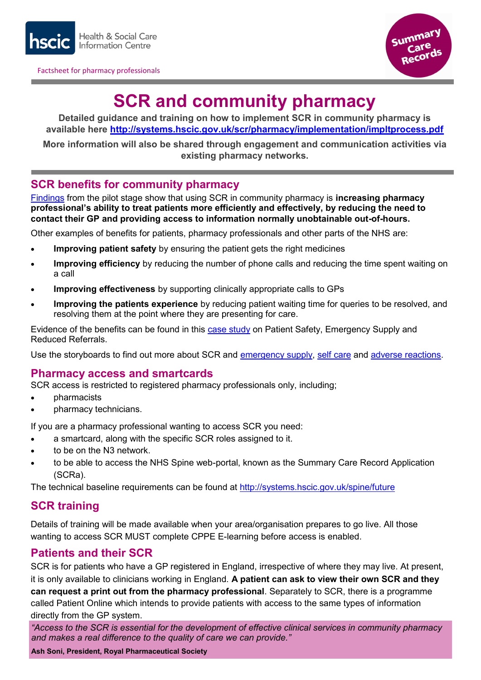

Factsheet for pharmacy professionals



# **SCR and community pharmacy**

**Detailed guidance and training on how to implement SCR in community pharmacy is available here <http://systems.hscic.gov.uk/scr/pharmacy/implementation/impltprocess.pdf>**

**More information will also be shared through engagement and communication activities via existing pharmacy networks.**

## **SCR benefits for community pharmacy**

[Findings](http://systems.hscic.gov.uk/scr/library/poc_report.pdf) from the pilot stage show that using SCR in community pharmacy is **increasing pharmacy professional's ability to treat patients more efficiently and effectively, by reducing the need to contact their GP and providing access to information normally unobtainable out-of-hours.**

Other examples of benefits for patients, pharmacy professionals and other parts of the NHS are:

- **Improving patient safety** by ensuring the patient gets the right medicines
- **Improving efficiency** by reducing the number of phone calls and reducing the time spent waiting on a call
- **Improving effectiveness** by supporting clinically appropriate calls to GPs
- **Improving the patients experience** by reducing patient waiting time for queries to be resolved, and resolving them at the point where they are presenting for care.

Evidence of the benefits can be found in this [case study](http://systems.hscic.gov.uk/scr/pharmacy/compharmcs.pdf) on Patient Safety, Emergency Supply and Reduced Referrals.

Use the storyboards to find out more about SCR and [emergency supply,](http://systems.hscic.gov.uk/scr/library/emergencysupply.pdf) [self care](http://systems.hscic.gov.uk/scr/library/selfcare.pdf) and [adverse reactions.](http://systems.hscic.gov.uk/scr/library/adversereaction.pdf)

## **Pharmacy access and smartcards**

SCR access is restricted to registered pharmacy professionals only, including;

- pharmacists
- pharmacy technicians.

If you are a pharmacy professional wanting to access SCR you need:

- a smartcard, along with the specific SCR roles assigned to it.
- to be on the N3 network.
- to be able to access the NHS Spine web-portal, known as the Summary Care Record Application (SCRa).

The technical baseline requirements can be found at <http://systems.hscic.gov.uk/spine/future>

# **SCR training**

Details of training will be made available when your area/organisation prepares to go live. All those wanting to access SCR MUST complete CPPE E-learning before access is enabled.

## **Patients and their SCR**

SCR is for patients who have a GP registered in England, irrespective of where they may live. At present, it is only available to clinicians working in England. **A patient can ask to view their own SCR and they can request a print out from the pharmacy professional**. Separately to SCR, there is a programme called Patient Online which intends to provide patients with access to the same types of information directly from the GP system.

*"Access to the SCR is essential for the development of effective clinical services in community pharmacy and makes a real difference to the quality of care we can provide."* 

**Ash Soni, President, Royal Pharmaceutical Society**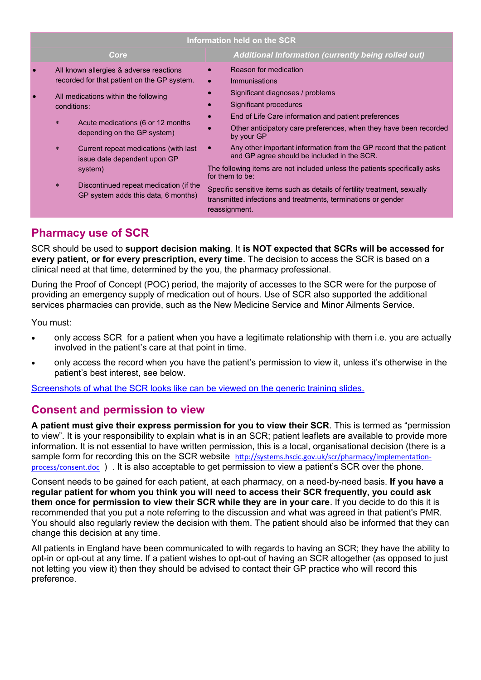| Information held on the SCR |                        |                                                                                                      |  |                                                                                                                                                                                                                                                              |  |  |
|-----------------------------|------------------------|------------------------------------------------------------------------------------------------------|--|--------------------------------------------------------------------------------------------------------------------------------------------------------------------------------------------------------------------------------------------------------------|--|--|
|                             |                        | Core                                                                                                 |  | <b>Additional Information (currently being rolled out)</b>                                                                                                                                                                                                   |  |  |
|                             |                        | All known allergies & adverse reactions<br>recorded for that patient on the GP system.               |  | Reason for medication<br>Immunisations                                                                                                                                                                                                                       |  |  |
|                             | conditions:<br>$\star$ | All medications within the following<br>Acute medications (6 or 12 months                            |  | Significant diagnoses / problems<br>Significant procedures<br>End of Life Care information and patient preferences<br>Other anticipatory care preferences, when they have been recorded                                                                      |  |  |
|                             | $*$                    | depending on the GP system)<br>Current repeat medications (with last<br>issue date dependent upon GP |  | by your GP<br>Any other important information from the GP record that the patient<br>and GP agree should be included in the SCR.                                                                                                                             |  |  |
|                             | $\star$                | system)<br>Discontinued repeat medication (if the<br>GP system adds this data, 6 months)             |  | The following items are not included unless the patients specifically asks<br>for them to be:<br>Specific sensitive items such as details of fertility treatment, sexually<br>transmitted infections and treatments, terminations or gender<br>reassignment. |  |  |
|                             |                        |                                                                                                      |  |                                                                                                                                                                                                                                                              |  |  |

# **Pharmacy use of SCR**

SCR should be used to **support decision making**. It **is NOT expected that SCRs will be accessed for every patient, or for every prescription, every time**. The decision to access the SCR is based on a clinical need at that time, determined by the you, the pharmacy professional.

During the Proof of Concept (POC) period, the majority of accesses to the SCR were for the purpose of providing an emergency supply of medication out of hours. Use of SCR also supported the additional services pharmacies can provide, such as the New Medicine Service and Minor Ailments Service.

You must:

- only access SCR for a patient when you have a legitimate relationship with them i.e. you are actually involved in the patient's care at that point in time.
- only access the record when you have the patient's permission to view it, unless it's otherwise in the patient's best interest, see below.

[Screenshots of what the SCR looks like can be viewed on the generic training slides.](http://systems.hscic.gov.uk/scr/implement/viewing)

## **Consent and permission to view**

**A patient must give their express permission for you to view their SCR**. This is termed as "permission to view". It is your responsibility to explain what is in an SCR; patient leaflets are available to provide more information. It is not essential to have written permission, this is a local, organisational decision (there is a sample form for recording this on the SCR website [http://systems.hscic.gov.uk/scr/pharmacy/implementation](http://systems.hscic.gov.uk/scr/pharmacy/implementation-process/consent.doc)[process/consent.doc](http://systems.hscic.gov.uk/scr/pharmacy/implementation-process/consent.doc) ) . It is also acceptable to get permission to view a patient's SCR over the phone.

Consent needs to be gained for each patient, at each pharmacy, on a need-by-need basis. **If you have a regular patient for whom you think you will need to access their SCR frequently, you could ask them once for permission to view their SCR while they are in your care**. If you decide to do this it is recommended that you put a note referring to the discussion and what was agreed in that patient's PMR. You should also regularly review the decision with them. The patient should also be informed that they can change this decision at any time.

All patients in England have been communicated to with regards to having an SCR; they have the ability to opt-in or opt-out at any time. If a patient wishes to opt-out of having an SCR altogether (as opposed to just not letting you view it) then they should be advised to contact their GP practice who will record this preference.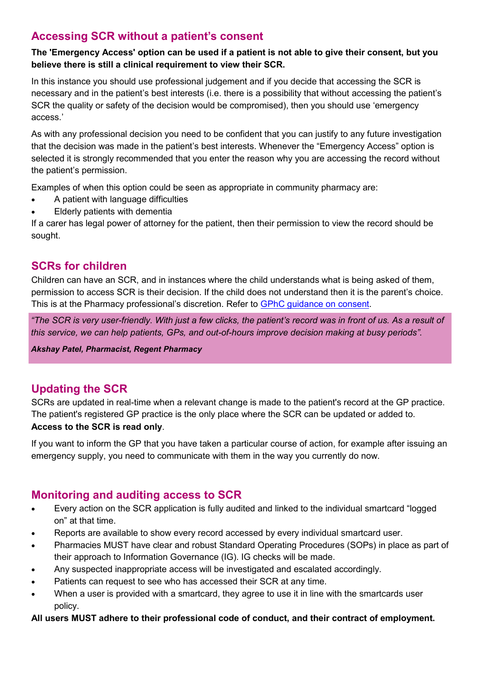# **Accessing SCR without a patient's consent**

#### **The 'Emergency Access' option can be used if a patient is not able to give their consent, but you believe there is still a clinical requirement to view their SCR.**

In this instance you should use professional judgement and if you decide that accessing the SCR is necessary and in the patient's best interests (i.e. there is a possibility that without accessing the patient's SCR the quality or safety of the decision would be compromised), then you should use 'emergency access.'

As with any professional decision you need to be confident that you can justify to any future investigation that the decision was made in the patient's best interests. Whenever the "Emergency Access" option is selected it is strongly recommended that you enter the reason why you are accessing the record without the patient's permission.

Examples of when this option could be seen as appropriate in community pharmacy are:

- A patient with language difficulties
- Elderly patients with dementia

If a carer has legal power of attorney for the patient, then their permission to view the record should be sought.

## **SCRs for children**

Children can have an SCR, and in instances where the child understands what is being asked of them, permission to access SCR is their decision. If the child does not understand then it is the parent's choice. This is at the Pharmacy professional's discretion. Refer to [GPhC guidance on consent.](http://www.pharmacyregulation.org/sites/default/files/GPHC%20Guidance%20on%20consent.pdf)

*"The SCR is very user-friendly. With just a few clicks, the patient's record was in front of us. As a result of this service, we can help patients, GPs, and out-of-hours improve decision making at busy periods".* 

*Akshay Patel, Pharmacist, Regent Pharmacy* 

# **Updating the SCR**

SCRs are updated in real-time when a relevant change is made to the patient's record at the GP practice. The patient's registered GP practice is the only place where the SCR can be updated or added to.

## **Access to the SCR is read only**.

If you want to inform the GP that you have taken a particular course of action, for example after issuing an emergency supply, you need to communicate with them in the way you currently do now.

## **Monitoring and auditing access to SCR**

- Every action on the SCR application is fully audited and linked to the individual smartcard "logged on" at that time.
- Reports are available to show every record accessed by every individual smartcard user.
- Pharmacies MUST have clear and robust Standard Operating Procedures (SOPs) in place as part of their approach to Information Governance (IG). IG checks will be made.
- Any suspected inappropriate access will be investigated and escalated accordingly.
- Patients can request to see who has accessed their SCR at any time.
- When a user is provided with a smartcard, they agree to use it in line with the smartcards user policy.

#### **All users MUST adhere to their professional code of conduct, and their contract of employment.**